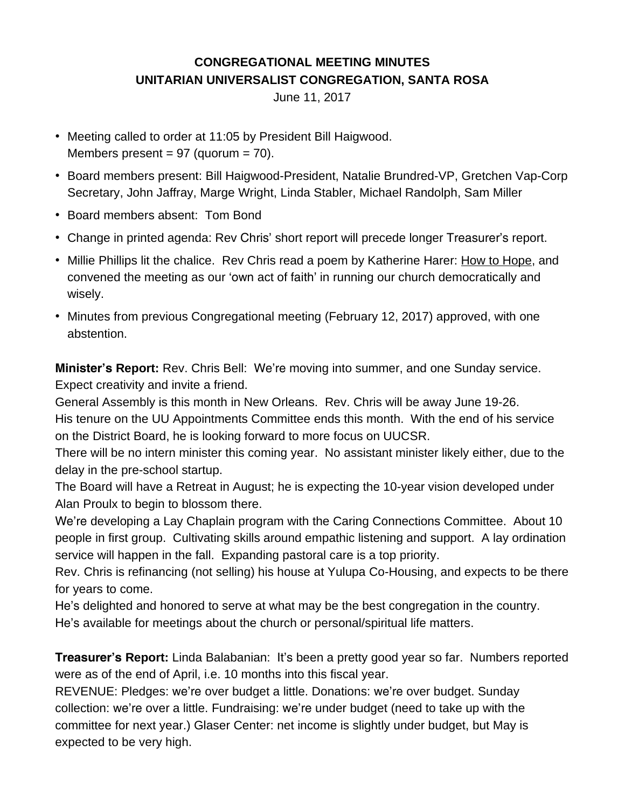## **CONGREGATIONAL MEETING MINUTES UNITARIAN UNIVERSALIST CONGREGATION, SANTA ROSA**

June 11, 2017

- Meeting called to order at 11:05 by President Bill Haigwood. Members present =  $97$  (quorum =  $70$ ).
- Board members present: Bill Haigwood-President, Natalie Brundred-VP, Gretchen Vap-Corp Secretary, John Jaffray, Marge Wright, Linda Stabler, Michael Randolph, Sam Miller
- Board members absent: Tom Bond
- Change in printed agenda: Rev Chris' short report will precede longer Treasurer's report.
- Millie Phillips lit the chalice. Rev Chris read a poem by Katherine Harer: How to [Hope,](http://talkingwriting.com/katharine-harer-two-poems) and convened the meeting as our 'own act of faith' in running our church democratically and wisely.
- Minutes from previous Congregational meeting (February 12, 2017) approved, with one abstention.

**Minister's Report:** Rev. Chris Bell: We're moving into summer, and one Sunday service. Expect creativity and invite a friend.

General Assembly is this month in New Orleans. Rev. Chris will be away June 19-26. His tenure on the UU Appointments Committee ends this month. With the end of his service on the District Board, he is looking forward to more focus on UUCSR.

There will be no intern minister this coming year. No assistant minister likely either, due to the delay in the pre-school startup.

The Board will have a Retreat in August; he is expecting the 10-year vision developed under Alan Proulx to begin to blossom there.

We're developing a Lay Chaplain program with the Caring Connections Committee. About 10 people in first group. Cultivating skills around empathic listening and support. A lay ordination service will happen in the fall. Expanding pastoral care is a top priority.

Rev. Chris is refinancing (not selling) his house at Yulupa Co-Housing, and expects to be there for years to come.

He's delighted and honored to serve at what may be the best congregation in the country. He's available for meetings about the church or personal/spiritual life matters.

**Treasurer's Report:** Linda Balabanian: It's been a pretty good year so far. Numbers reported were as of the end of April, i.e. 10 months into this fiscal year.

REVENUE: Pledges: we're over budget a little. Donations: we're over budget. Sunday collection: we're over a little. Fundraising: we're under budget (need to take up with the committee for next year.) Glaser Center: net income is slightly under budget, but May is expected to be very high.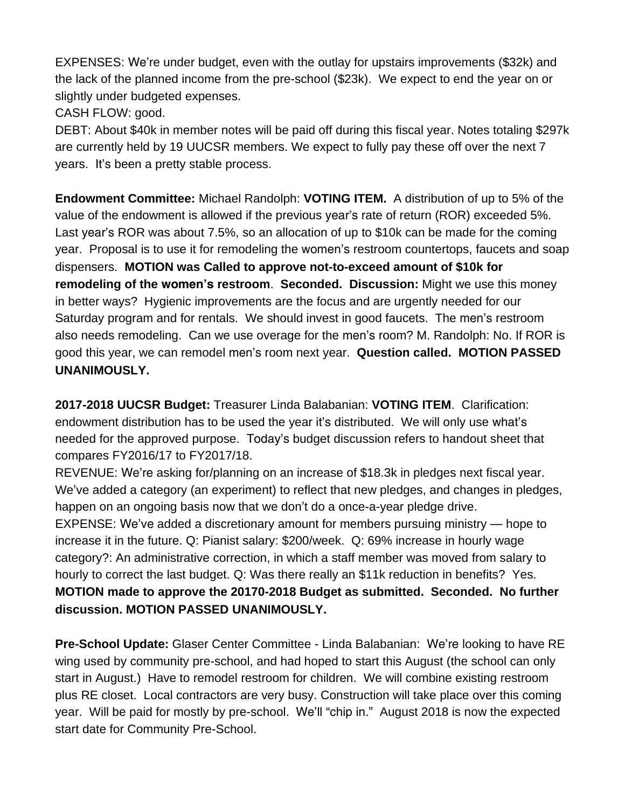EXPENSES: We're under budget, even with the outlay for upstairs improvements (\$32k) and the lack of the planned income from the pre-school (\$23k). We expect to end the year on or slightly under budgeted expenses.

CASH FLOW: good.

DEBT: About \$40k in member notes will be paid off during this fiscal year. Notes totaling \$297k are currently held by 19 UUCSR members. We expect to fully pay these off over the next 7 years. It's been a pretty stable process.

**Endowment Committee:** Michael Randolph: **VOTING ITEM.** A distribution of up to 5% of the value of the endowment is allowed if the previous year's rate of return (ROR) exceeded 5%. Last year's ROR was about 7.5%, so an allocation of up to \$10k can be made for the coming year. Proposal is to use it for remodeling the women's restroom countertops, faucets and soap dispensers. **MOTION was Called to approve not-to-exceed amount of \$10k for remodeling of the women's restroom**. **Seconded. Discussion:** Might we use this money in better ways? Hygienic improvements are the focus and are urgently needed for our Saturday program and for rentals. We should invest in good faucets. The men's restroom also needs remodeling. Can we use overage for the men's room? M. Randolph: No. If ROR is good this year, we can remodel men's room next year. **Question called. MOTION PASSED UNANIMOUSLY.**

**2017-2018 UUCSR Budget:** Treasurer Linda Balabanian: **VOTING ITEM**. Clarification: endowment distribution has to be used the year it's distributed. We will only use what's needed for the approved purpose. Today's budget discussion refers to handout sheet that compares FY2016/17 to FY2017/18.

REVENUE: We're asking for/planning on an increase of \$18.3k in pledges next fiscal year. We've added a category (an experiment) to reflect that new pledges, and changes in pledges, happen on an ongoing basis now that we don't do a once-a-year pledge drive. EXPENSE: We've added a discretionary amount for members pursuing ministry — hope to increase it in the future. Q: Pianist salary: \$200/week. Q: 69% increase in hourly wage category?: An administrative correction, in which a staff member was moved from salary to hourly to correct the last budget. Q: Was there really an \$11k reduction in benefits? Yes. **MOTION made to approve the 20170-2018 Budget as submitted. Seconded. No further discussion. MOTION PASSED UNANIMOUSLY.**

**Pre-School Update:** Glaser Center Committee - Linda Balabanian: We're looking to have RE wing used by community pre-school, and had hoped to start this August (the school can only start in August.) Have to remodel restroom for children. We will combine existing restroom plus RE closet. Local contractors are very busy. Construction will take place over this coming year. Will be paid for mostly by pre-school. We'll "chip in." August 2018 is now the expected start date for Community Pre-School.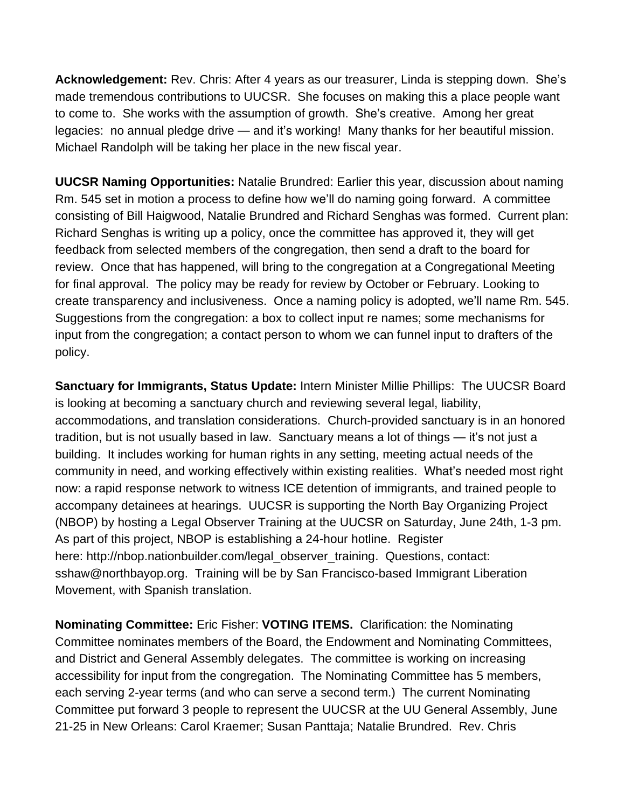**Acknowledgement:** Rev. Chris: After 4 years as our treasurer, Linda is stepping down. She's made tremendous contributions to UUCSR. She focuses on making this a place people want to come to. She works with the assumption of growth. She's creative. Among her great legacies: no annual pledge drive — and it's working! Many thanks for her beautiful mission. Michael Randolph will be taking her place in the new fiscal year.

**UUCSR Naming Opportunities:** Natalie Brundred: Earlier this year, discussion about naming Rm. 545 set in motion a process to define how we'll do naming going forward. A committee consisting of Bill Haigwood, Natalie Brundred and Richard Senghas was formed. Current plan: Richard Senghas is writing up a policy, once the committee has approved it, they will get feedback from selected members of the congregation, then send a draft to the board for review. Once that has happened, will bring to the congregation at a Congregational Meeting for final approval. The policy may be ready for review by October or February. Looking to create transparency and inclusiveness. Once a naming policy is adopted, we'll name Rm. 545. Suggestions from the congregation: a box to collect input re names; some mechanisms for input from the congregation; a contact person to whom we can funnel input to drafters of the policy.

**Sanctuary for Immigrants, Status Update:** Intern Minister Millie Phillips: The UUCSR Board is looking at becoming a sanctuary church and reviewing several legal, liability, accommodations, and translation considerations. Church-provided sanctuary is in an honored tradition, but is not usually based in law. Sanctuary means a lot of things — it's not just a building. It includes working for human rights in any setting, meeting actual needs of the community in need, and working effectively within existing realities. What's needed most right now: a rapid response network to witness ICE detention of immigrants, and trained people to accompany detainees at hearings. UUCSR is supporting the North Bay Organizing Project (NBOP) by hosting a Legal Observer Training at the UUCSR on Saturday, June 24th, 1-3 pm. As part of this project, NBOP is establishing a 24-hour hotline. Register here: [http://nbop.nationbuilder.com/legal\\_observer\\_training.](http://nbop.nationbuilder.com/legal_observer_training) Questions, contact: [sshaw@northbayop.org.](mailto:sshaw@northbayop.org) Training will be by San Francisco-based Immigrant Liberation Movement, with Spanish translation.

**Nominating Committee:** Eric Fisher: **VOTING ITEMS.** Clarification: the Nominating Committee nominates members of the Board, the Endowment and Nominating Committees, and District and General Assembly delegates. The committee is working on increasing accessibility for input from the congregation. The Nominating Committee has 5 members, each serving 2-year terms (and who can serve a second term.) The current Nominating Committee put forward 3 people to represent the UUCSR at the UU General Assembly, June 21-25 in New Orleans: Carol Kraemer; Susan Panttaja; Natalie Brundred. Rev. Chris